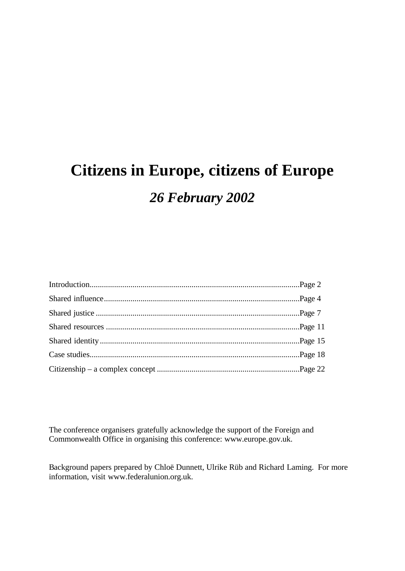# **Citizens in Europe, citizens of Europe** *26 February 2002*

The conference organisers gratefully acknowledge the support of the Foreign and Commonwealth Office in organising this conference: www.europe.gov.uk.

Background papers prepared by Chloë Dunnett, Ulrike Rüb and Richard Laming. For more information, visit www.federalunion.org.uk.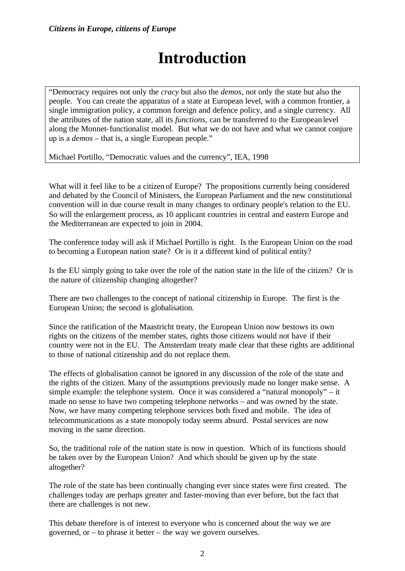# **Introduction**

"Democracy requires not only the *cracy* but also the *demos*, not only the state but also the people. You can create the apparatus of a state at European level, with a common frontier, a single immigration policy, a common foreign and defence policy, and a single currency. All the attributes of the nation state, all its *functions*, can be transferred to the European level along the Monnet-functionalist model. But what we do not have and what we cannot conjure up is a *demos* – that is, a single European people."

Michael Portillo, "Democratic values and the currency", IEA, 1998

What will it feel like to be a citizen of Europe? The propositions currently being considered and debated by the Council of Ministers, the European Parliament and the new constitutional convention will in due course result in many changes to ordinary people's relation to the EU. So will the enlargement process, as 10 applicant countries in central and eastern Europe and the Mediterranean are expected to join in 2004.

The conference today will ask if Michael Portillo is right. Is the European Union on the road to becoming a European nation state? Or is it a different kind of political entity?

Is the EU simply going to take over the role of the nation state in the life of the citizen? Or is the nature of citizenship changing altogether?

There are two challenges to the concept of national citizenship in Europe. The first is the European Union; the second is globalisation.

Since the ratification of the Maastricht treaty, the European Union now bestows its own rights on the citizens of the member states, rights those citizens would not have if their country were not in the EU. The Amsterdam treaty made clear that these rights are additional to those of national citizenship and do not replace them.

The effects of globalisation cannot be ignored in any discussion of the role of the state and the rights of the citizen. Many of the assumptions previously made no longer make sense. A simple example: the telephone system. Once it was considered a "natural monopoly" – it made no sense to have two competing telephone networks – and was owned by the state. Now, we have many competing telephone services both fixed and mobile. The idea of telecommunications as a state monopoly today seems absurd. Postal services are now moving in the same direction.

So, the traditional role of the nation state is now in question. Which of its functions should be taken over by the European Union? And which should be given up by the state altogether?

The role of the state has been continually changing ever since states were first created. The challenges today are perhaps greater and faster-moving than ever before, but the fact that there are challenges is not new.

This debate therefore is of interest to everyone who is concerned about the way we are governed, or – to phrase it better – the way we govern ourselves.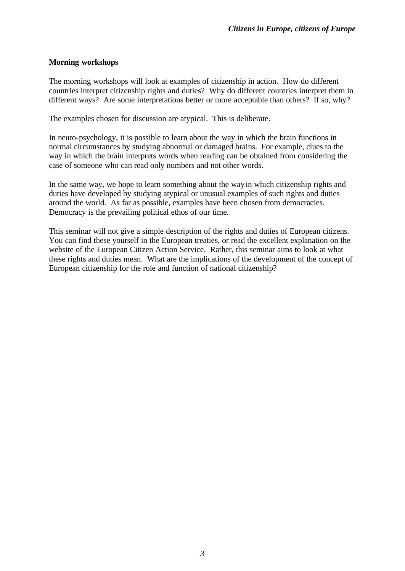### **Morning workshops**

The morning workshops will look at examples of citizenship in action. How do different countries interpret citizenship rights and duties? Why do different countries interpret them in different ways? Are some interpretations better or more acceptable than others? If so, why?

The examples chosen for discussion are atypical. This is deliberate.

In neuro-psychology, it is possible to learn about the way in which the brain functions in normal circumstances by studying abnormal or damaged brains. For example, clues to the way in which the brain interprets words when reading can be obtained from considering the case of someone who can read only numbers and not other words.

In the same way, we hope to learn something about the way in which citizenship rights and duties have developed by studying atypical or unusual examples of such rights and duties around the world. As far as possible, examples have been chosen from democracies. Democracy is the prevailing political ethos of our time.

This seminar will not give a simple description of the rights and duties of European citizens. You can find these yourself in the European treaties, or read the excellent explanation on the website of the European Citizen Action Service. Rather, this seminar aims to look at what these rights and duties mean. What are the implications of the development of the concept of European citizenship for the role and function of national citizenship?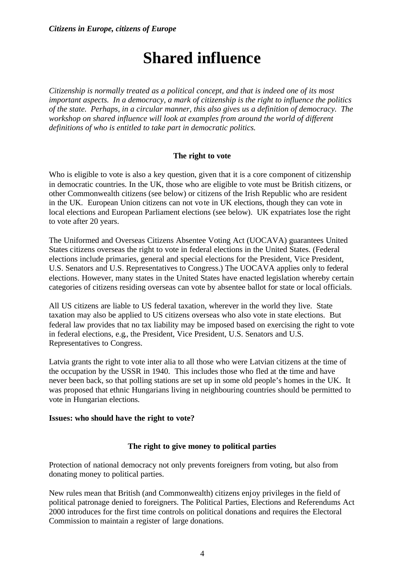# **Shared influence**

*Citizenship is normally treated as a political concept, and that is indeed one of its most important aspects. In a democracy, a mark of citizenship is the right to influence the politics of the state. Perhaps, in a circular manner, this also gives us a definition of democracy. The workshop on shared influence will look at examples from around the world of different definitions of who is entitled to take part in democratic politics.*

### **The right to vote**

Who is eligible to vote is also a key question, given that it is a core component of citizenship in democratic countries. In the UK, those who are eligible to vote must be British citizens, or other Commonwealth citizens (see below) or citizens of the Irish Republic who are resident in the UK. European Union citizens can not vote in UK elections, though they can vote in local elections and European Parliament elections (see below). UK expatriates lose the right to vote after 20 years.

The Uniformed and Overseas Citizens Absentee Voting Act (UOCAVA) guarantees United States citizens overseas the right to vote in federal elections in the United States. (Federal elections include primaries, general and special elections for the President, Vice President, U.S. Senators and U.S. Representatives to Congress.) The UOCAVA applies only to federal elections. However, many states in the United States have enacted legislation whereby certain categories of citizens residing overseas can vote by absentee ballot for state or local officials.

All US citizens are liable to US federal taxation, wherever in the world they live. State taxation may also be applied to US citizens overseas who also vote in state elections. But federal law provides that no tax liability may be imposed based on exercising the right to vote in federal elections, e.g., the President, Vice President, U.S. Senators and U.S. Representatives to Congress.

Latvia grants the right to vote inter alia to all those who were Latvian citizens at the time of the occupation by the USSR in 1940. This includes those who fled at the time and have never been back, so that polling stations are set up in some old people's homes in the UK. It was proposed that ethnic Hungarians living in neighbouring countries should be permitted to vote in Hungarian elections.

### **Issues: who should have the right to vote?**

### **The right to give money to political parties**

Protection of national democracy not only prevents foreigners from voting, but also from donating money to political parties.

New rules mean that British (and Commonwealth) citizens enjoy privileges in the field of political patronage denied to foreigners. The Political Parties, Elections and Referendums Act 2000 introduces for the first time controls on political donations and requires the Electoral Commission to maintain a register of large donations.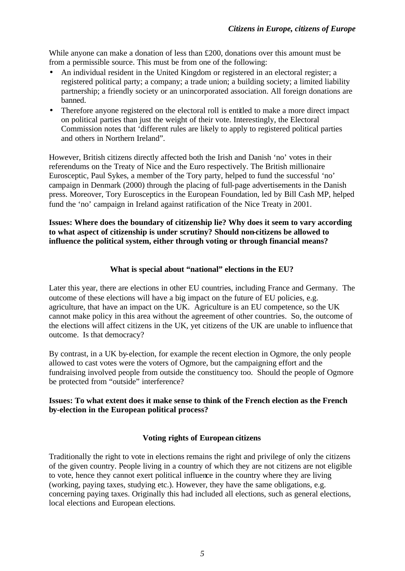While anyone can make a donation of less than £200, donations over this amount must be from a permissible source. This must be from one of the following:

- An individual resident in the United Kingdom or registered in an electoral register; a registered political party; a company; a trade union; a building society; a limited liability partnership; a friendly society or an unincorporated association. All foreign donations are banned.
- Therefore anyone registered on the electoral roll is entitled to make a more direct impact on political parties than just the weight of their vote. Interestingly, the Electoral Commission notes that 'different rules are likely to apply to registered political parties and others in Northern Ireland".

However, British citizens directly affected both the Irish and Danish 'no' votes in their referendums on the Treaty of Nice and the Euro respectively. The British millionaire Eurosceptic, Paul Sykes, a member of the Tory party, helped to fund the successful 'no' campaign in Denmark (2000) through the placing of full-page advertisements in the Danish press. Moreover, Tory Eurosceptics in the European Foundation, led by Bill Cash MP, helped fund the 'no' campaign in Ireland against ratification of the Nice Treaty in 2001.

### **Issues: Where does the boundary of citizenship lie? Why does it seem to vary according to what aspect of citizenship is under scrutiny? Should non-citizens be allowed to influence the political system, either through voting or through financial means?**

### **What is special about "national" elections in the EU?**

Later this year, there are elections in other EU countries, including France and Germany. The outcome of these elections will have a big impact on the future of EU policies, e.g. agriculture, that have an impact on the UK. Agriculture is an EU competence, so the UK cannot make policy in this area without the agreement of other countries. So, the outcome of the elections will affect citizens in the UK, yet citizens of the UK are unable to influence that outcome. Is that democracy?

By contrast, in a UK by-election, for example the recent election in Ogmore, the only people allowed to cast votes were the voters of Ogmore, but the campaigning effort and the fundraising involved people from outside the constituency too. Should the people of Ogmore be protected from "outside" interference?

### **Issues: To what extent does it make sense to think of the French election as the French by-election in the European political process?**

### **Voting rights of European citizens**

Traditionally the right to vote in elections remains the right and privilege of only the citizens of the given country. People living in a country of which they are not citizens are not eligible to vote, hence they cannot exert political influence in the country where they are living (working, paying taxes, studying etc.). However, they have the same obligations, e.g. concerning paying taxes. Originally this had included all elections, such as general elections, local elections and European elections.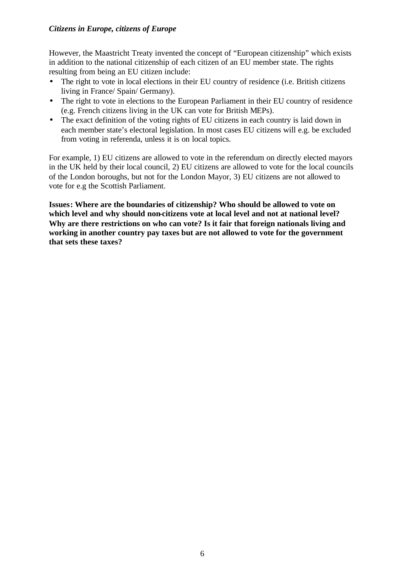However, the Maastricht Treaty invented the concept of "European citizenship" which exists in addition to the national citizenship of each citizen of an EU member state. The rights resulting from being an EU citizen include:

- The right to vote in local elections in their EU country of residence (i.e. British citizens living in France/ Spain/ Germany).
- The right to vote in elections to the European Parliament in their EU country of residence (e.g. French citizens living in the UK can vote for British MEPs).
- The exact definition of the voting rights of EU citizens in each country is laid down in each member state's electoral legislation. In most cases EU citizens will e.g. be excluded from voting in referenda, unless it is on local topics.

For example, 1) EU citizens are allowed to vote in the referendum on directly elected mayors in the UK held by their local council, 2) EU citizens are allowed to vote for the local councils of the London boroughs, but not for the London Mayor, 3) EU citizens are not allowed to vote for e.g the Scottish Parliament.

**Issues: Where are the boundaries of citizenship? Who should be allowed to vote on which level and why should non-citizens vote at local level and not at national level? Why are there restrictions on who can vote? Is it fair that foreign nationals living and working in another country pay taxes but are not allowed to vote for the government that sets these taxes?**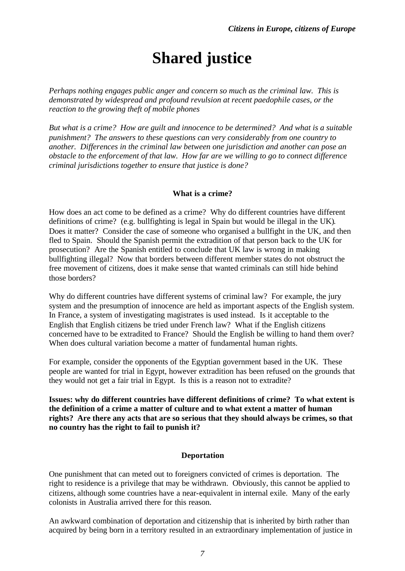# **Shared justice**

*Perhaps nothing engages public anger and concern so much as the criminal law. This is demonstrated by widespread and profound revulsion at recent paedophile cases, or the reaction to the growing theft of mobile phones*

*But what is a crime? How are guilt and innocence to be determined? And what is a suitable punishment? The answers to these questions can very considerably from one country to another. Differences in the criminal law between one jurisdiction and another can pose an obstacle to the enforcement of that law. How far are we willing to go to connect difference criminal jurisdictions together to ensure that justice is done?*

### **What is a crime?**

How does an act come to be defined as a crime? Why do different countries have different definitions of crime? (e.g. bullfighting is legal in Spain but would be illegal in the UK). Does it matter? Consider the case of someone who organised a bullfight in the UK, and then fled to Spain. Should the Spanish permit the extradition of that person back to the UK for prosecution? Are the Spanish entitled to conclude that UK law is wrong in making bullfighting illegal? Now that borders between different member states do not obstruct the free movement of citizens, does it make sense that wanted criminals can still hide behind those borders?

Why do different countries have different systems of criminal law? For example, the jury system and the presumption of innocence are held as important aspects of the English system. In France, a system of investigating magistrates is used instead. Is it acceptable to the English that English citizens be tried under French law? What if the English citizens concerned have to be extradited to France? Should the English be willing to hand them over? When does cultural variation become a matter of fundamental human rights.

For example, consider the opponents of the Egyptian government based in the UK. These people are wanted for trial in Egypt, however extradition has been refused on the grounds that they would not get a fair trial in Egypt. Is this is a reason not to extradite?

**Issues: why do different countries have different definitions of crime? To what extent is the definition of a crime a matter of culture and to what extent a matter of human rights? Are there any acts that are so serious that they should always be crimes, so that no country has the right to fail to punish it?**

### **Deportation**

One punishment that can meted out to foreigners convicted of crimes is deportation. The right to residence is a privilege that may be withdrawn. Obviously, this cannot be applied to citizens, although some countries have a near-equivalent in internal exile. Many of the early colonists in Australia arrived there for this reason.

An awkward combination of deportation and citizenship that is inherited by birth rather than acquired by being born in a territory resulted in an extraordinary implementation of justice in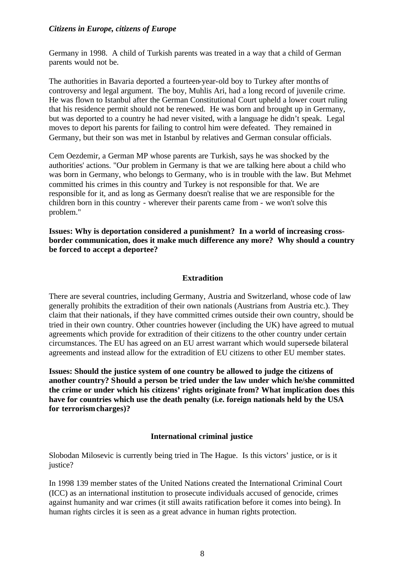Germany in 1998. A child of Turkish parents was treated in a way that a child of German parents would not be.

The authorities in Bavaria deported a fourteen-year-old boy to Turkey after months of controversy and legal argument. The boy, Muhlis Ari, had a long record of juvenile crime. He was flown to Istanbul after the German Constitutional Court upheld a lower court ruling that his residence permit should not be renewed. He was born and brought up in Germany, but was deported to a country he had never visited, with a language he didn't speak. Legal moves to deport his parents for failing to control him were defeated. They remained in Germany, but their son was met in Istanbul by relatives and German consular officials.

Cem Oezdemir, a German MP whose parents are Turkish, says he was shocked by the authorities' actions. "Our problem in Germany is that we are talking here about a child who was born in Germany, who belongs to Germany, who is in trouble with the law. But Mehmet committed his crimes in this country and Turkey is not responsible for that. We are responsible for it, and as long as Germany doesn't realise that we are responsible for the children born in this country - wherever their parents came from - we won't solve this problem."

**Issues: Why is deportation considered a punishment? In a world of increasing crossborder communication, does it make much difference any more? Why should a country be forced to accept a deportee?**

### **Extradition**

There are several countries, including Germany, Austria and Switzerland, whose code of law generally prohibits the extradition of their own nationals (Austrians from Austria etc.). They claim that their nationals, if they have committed crimes outside their own country, should be tried in their own country. Other countries however (including the UK) have agreed to mutual agreements which provide for extradition of their citizens to the other country under certain circumstances. The EU has agreed on an EU arrest warrant which would supersede bilateral agreements and instead allow for the extradition of EU citizens to other EU member states.

**Issues: Should the justice system of one country be allowed to judge the citizens of another country? Should a person be tried under the law under which he/she committed the crime or under which his citizens' rights originate from? What implication does this have for countries which use the death penalty (i.e. foreign nationals held by the USA for terrorism charges)?**

#### **International criminal justice**

Slobodan Milosevic is currently being tried in The Hague. Is this victors' justice, or is it justice?

In 1998 139 member states of the United Nations created the International Criminal Court (ICC) as an international institution to prosecute individuals accused of genocide, crimes against humanity and war crimes (it still awaits ratification before it comes into being). In human rights circles it is seen as a great advance in human rights protection.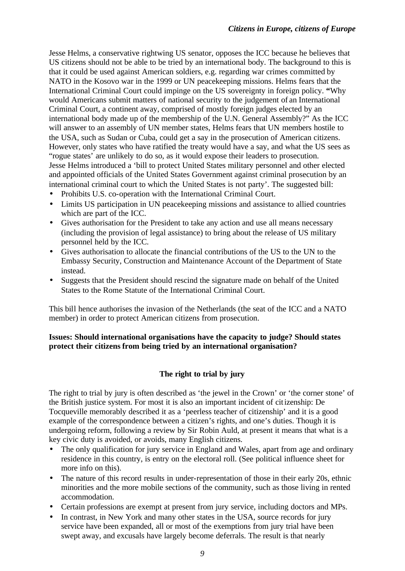Jesse Helms, a conservative rightwing US senator, opposes the ICC because he believes that US citizens should not be able to be tried by an international body. The background to this is that it could be used against American soldiers, e.g. regarding war crimes committed by NATO in the Kosovo war in the 1999 or UN peacekeeping missions. Helms fears that the International Criminal Court could impinge on the US sovereignty in foreign policy. **"**Why would Americans submit matters of national security to the judgement of an International Criminal Court, a continent away, comprised of mostly foreign judges elected by an international body made up of the membership of the U.N. General Assembly?" As the ICC will answer to an assembly of UN member states, Helms fears that UN members hostile to the USA, such as Sudan or Cuba, could get a say in the prosecution of American citizens. However, only states who have ratified the treaty would have a say, and what the US sees as "rogue states' are unlikely to do so, as it would expose their leaders to prosecution. Jesse Helms introduced a 'bill to protect United States military personnel and other elected and appointed officials of the United States Government against criminal prosecution by an international criminal court to which the United States is not party'. The suggested bill:

- Prohibits U.S. co-operation with the International Criminal Court.
- Limits US participation in UN peacekeeping missions and assistance to allied countries which are part of the ICC.
- Gives authorisation for the President to take any action and use all means necessary (including the provision of legal assistance) to bring about the release of US military personnel held by the ICC.
- Gives authorisation to allocate the financial contributions of the US to the UN to the Embassy Security, Construction and Maintenance Account of the Department of State instead.
- Suggests that the President should rescind the signature made on behalf of the United States to the Rome Statute of the International Criminal Court.

This bill hence authorises the invasion of the Netherlands (the seat of the ICC and a NATO member) in order to protect American citizens from prosecution.

### **Issues: Should international organisations have the capacity to judge? Should states protect their citizens from being tried by an international organisation?**

### **The right to trial by jury**

The right to trial by jury is often described as 'the jewel in the Crown' or 'the corner stone' of the British justice system. For most it is also an important incident of citizenship: De Tocqueville memorably described it as a 'peerless teacher of citizenship' and it is a good example of the correspondence between a citizen's rights, and one's duties. Though it is undergoing reform, following a review by Sir Robin Auld, at present it means that what is a key civic duty is avoided, or avoids, many English citizens.

- The only qualification for jury service in England and Wales, apart from age and ordinary residence in this country, is entry on the electoral roll. (See political influence sheet for more info on this).
- The nature of this record results in under-representation of those in their early 20s, ethnic minorities and the more mobile sections of the community, such as those living in rented accommodation.
- Certain professions are exempt at present from jury service, including doctors and MPs.
- In contrast, in New York and many other states in the USA, source records for jury service have been expanded, all or most of the exemptions from jury trial have been swept away, and excusals have largely become deferrals. The result is that nearly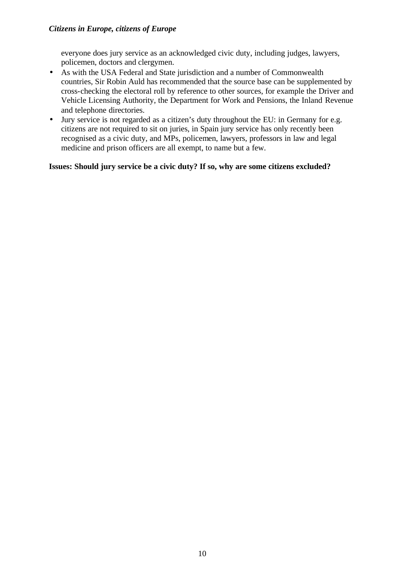everyone does jury service as an acknowledged civic duty, including judges, lawyers, policemen, doctors and clergymen.

- As with the USA Federal and State jurisdiction and a number of Commonwealth countries, Sir Robin Auld has recommended that the source base can be supplemented by cross-checking the electoral roll by reference to other sources, for example the Driver and Vehicle Licensing Authority, the Department for Work and Pensions, the Inland Revenue and telephone directories.
- Jury service is not regarded as a citizen's duty throughout the EU: in Germany for e.g. citizens are not required to sit on juries, in Spain jury service has only recently been recognised as a civic duty, and MPs, policemen, lawyers, professors in law and legal medicine and prison officers are all exempt, to name but a few.

### **Issues: Should jury service be a civic duty? If so, why are some citizens excluded?**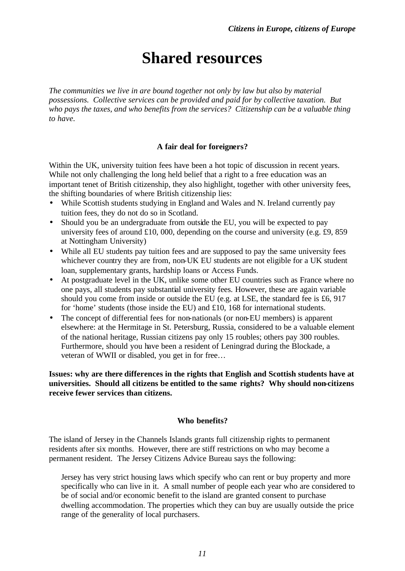### **Shared resources**

*The communities we live in are bound together not only by law but also by material possessions. Collective services can be provided and paid for by collective taxation. But who pays the taxes, and who benefits from the services? Citizenship can be a valuable thing to have.*

### **A fair deal for foreigners?**

Within the UK, university tuition fees have been a hot topic of discussion in recent years. While not only challenging the long held belief that a right to a free education was an important tenet of British citizenship, they also highlight, together with other university fees, the shifting boundaries of where British citizenship lies:

- While Scottish students studying in England and Wales and N. Ireland currently pay tuition fees, they do not do so in Scotland.
- Should you be an undergraduate from outside the EU, you will be expected to pay university fees of around £10, 000, depending on the course and university (e.g. £9, 859 at Nottingham University)
- While all EU students pay tuition fees and are supposed to pay the same university fees whichever country they are from, non-UK EU students are not eligible for a UK student loan, supplementary grants, hardship loans or Access Funds.
- At postgraduate level in the UK, unlike some other EU countries such as France where no one pays, all students pay substantial university fees. However, these are again variable should you come from inside or outside the EU (e.g. at LSE, the standard fee is £6, 917 for 'home' students (those inside the EU) and £10, 168 for international students.
- The concept of differential fees for non-nationals (or non-EU members) is apparent elsewhere: at the Hermitage in St. Petersburg, Russia, considered to be a valuable element of the national heritage, Russian citizens pay only 15 roubles; others pay 300 roubles. Furthermore, should you have been a resident of Leningrad during the Blockade, a veteran of WWII or disabled, you get in for free…

**Issues: why are there differences in the rights that English and Scottish students have at universities. Should all citizens be entitled to the same rights? Why should non-citizens receive fewer services than citizens.**

### **Who benefits?**

The island of Jersey in the Channels Islands grants full citizenship rights to permanent residents after six months. However, there are stiff restrictions on who may become a permanent resident. The Jersey Citizens Advice Bureau says the following:

Jersey has very strict housing laws which specify who can rent or buy property and more specifically who can live in it. A small number of people each year who are considered to be of social and/or economic benefit to the island are granted consent to purchase dwelling accommodation. The properties which they can buy are usually outside the price range of the generality of local purchasers.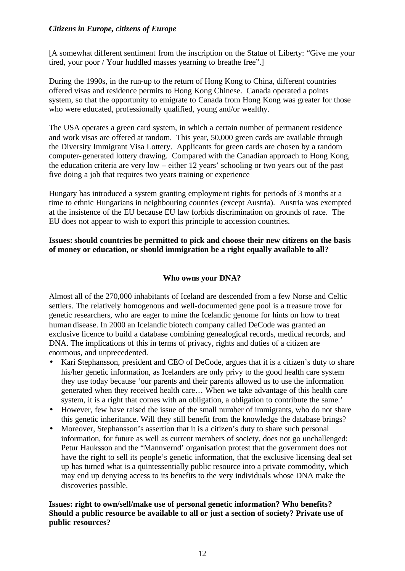[A somewhat different sentiment from the inscription on the Statue of Liberty: "Give me your tired, your poor / Your huddled masses yearning to breathe free".]

During the 1990s, in the run-up to the return of Hong Kong to China, different countries offered visas and residence permits to Hong Kong Chinese. Canada operated a points system, so that the opportunity to emigrate to Canada from Hong Kong was greater for those who were educated, professionally qualified, young and/or wealthy.

The USA operates a green card system, in which a certain number of permanent residence and work visas are offered at random. This year, 50,000 green cards are available through the Diversity Immigrant Visa Lottery. Applicants for green cards are chosen by a random computer-generated lottery drawing. Compared with the Canadian approach to Hong Kong, the education criteria are very low – either 12 years' schooling or two years out of the past five doing a job that requires two years training or experience

Hungary has introduced a system granting employment rights for periods of 3 months at a time to ethnic Hungarians in neighbouring countries (except Austria). Austria was exempted at the insistence of the EU because EU law forbids discrimination on grounds of race. The EU does not appear to wish to export this principle to accession countries.

### **Issues: should countries be permitted to pick and choose their new citizens on the basis of money or education, or should immigration be a right equally available to all?**

### **Who owns your DNA?**

Almost all of the 270,000 inhabitants of Iceland are descended from a few Norse and Celtic settlers. The relatively homogenous and well-documented gene pool is a treasure trove for genetic researchers, who are eager to mine the Icelandic genome for hints on how to treat human disease. In 2000 an Icelandic biotech company called DeCode was granted an exclusive licence to build a database combining genealogical records, medical records, and DNA. The implications of this in terms of privacy, rights and duties of a citizen are enormous, and unprecedented.

- Kari Stephansson, president and CEO of DeCode, argues that it is a citizen's duty to share his/her genetic information, as Icelanders are only privy to the good health care system they use today because 'our parents and their parents allowed us to use the information generated when they received health care… When we take advantage of this health care system, it is a right that comes with an obligation, a obligation to contribute the same.'
- However, few have raised the issue of the small number of immigrants, who do not share this genetic inheritance. Will they still benefit from the knowledge the database brings?
- Moreover, Stephansson's assertion that it is a citizen's duty to share such personal information, for future as well as current members of society, does not go unchallenged: Petur Hauksson and the "Mannvernd' organisation protest that the government does not have the right to sell its people's genetic information, that the exclusive licensing deal set up has turned what is a quintessentially public resource into a private commodity, which may end up denying access to its benefits to the very individuals whose DNA make the discoveries possible.

**Issues: right to own/sell/make use of personal genetic information? Who benefits? Should a public resource be available to all or just a section of society? Private use of public resources?**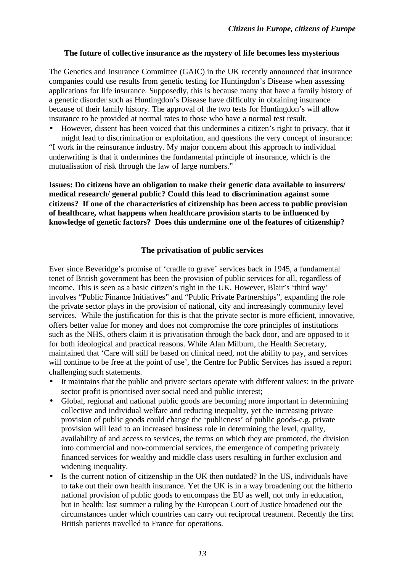### **The future of collective insurance as the mystery of life becomes less mysterious**

The Genetics and Insurance Committee (GAIC) in the UK recently announced that insurance companies could use results from genetic testing for Huntingdon's Disease when assessing applications for life insurance. Supposedly, this is because many that have a family history of a genetic disorder such as Huntingdon's Disease have difficulty in obtaining insurance because of their family history. The approval of the two tests for Huntingdon's will allow insurance to be provided at normal rates to those who have a normal test result.

• However, dissent has been voiced that this undermines a citizen's right to privacy, that it might lead to discrimination or exploitation, and questions the very concept of insurance:

"I work in the reinsurance industry. My major concern about this approach to individual underwriting is that it undermines the fundamental principle of insurance, which is the mutualisation of risk through the law of large numbers."

**Issues: Do citizens have an obligation to make their genetic data available to insurers/ medical research/ general public? Could this lead to discrimination against some citizens? If one of the characteristics of citizenship has been access to public provision of healthcare, what happens when healthcare provision starts to be influenced by knowledge of genetic factors? Does this undermine one of the features of citizenship?**

### **The privatisation of public services**

Ever since Beveridge's promise of 'cradle to grave' services back in 1945, a fundamental tenet of British government has been the provision of public services for all, regardless of income. This is seen as a basic citizen's right in the UK. However, Blair's 'third way' involves "Public Finance Initiatives" and "Public Private Partnerships", expanding the role the private sector plays in the provision of national, city and increasingly community level services. While the justification for this is that the private sector is more efficient, innovative, offers better value for money and does not compromise the core principles of institutions such as the NHS, others claim it is privatisation through the back door, and are opposed to it for both ideological and practical reasons. While Alan Milburn, the Health Secretary, maintained that 'Care will still be based on clinical need, not the ability to pay, and services will continue to be free at the point of use', the Centre for Public Services has issued a report challenging such statements.

- It maintains that the public and private sectors operate with different values: in the private sector profit is prioritised over social need and public interest;
- Global, regional and national public goods are becoming more important in determining collective and individual welfare and reducing inequality, yet the increasing private provision of public goods could change the 'publicness' of public goods-e.g. private provision will lead to an increased business role in determining the level, quality, availability of and access to services, the terms on which they are promoted, the division into commercial and non-commercial services, the emergence of competing privately financed services for wealthy and middle class users resulting in further exclusion and widening inequality.
- Is the current notion of citizenship in the UK then outdated? In the US, individuals have to take out their own health insurance. Yet the UK is in a way broadening out the hitherto national provision of public goods to encompass the EU as well, not only in education, but in health: last summer a ruling by the European Court of Justice broadened out the circumstances under which countries can carry out reciprocal treatment. Recently the first British patients travelled to France for operations.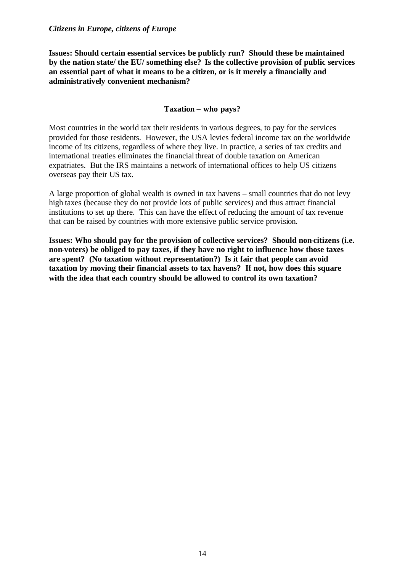**Issues: Should certain essential services be publicly run? Should these be maintained by the nation state/ the EU/ something else? Is the collective provision of public services an essential part of what it means to be a citizen, or is it merely a financially and administratively convenient mechanism?**

### **Taxation – who pays?**

Most countries in the world tax their residents in various degrees, to pay for the services provided for those residents. However, the USA levies federal income tax on the worldwide income of its citizens, regardless of where they live. In practice, a series of tax credits and international treaties eliminates the financial threat of double taxation on American expatriates. But the IRS maintains a network of international offices to help US citizens overseas pay their US tax.

A large proportion of global wealth is owned in tax havens – small countries that do not levy high taxes (because they do not provide lots of public services) and thus attract financial institutions to set up there. This can have the effect of reducing the amount of tax revenue that can be raised by countries with more extensive public service provision.

**Issues: Who should pay for the provision of collective services? Should non-citizens (i.e. non-voters) be obliged to pay taxes, if they have no right to influence how those taxes are spent? (No taxation without representation?) Is it fair that people can avoid taxation by moving their financial assets to tax havens? If not, how does this square with the idea that each country should be allowed to control its own taxation?**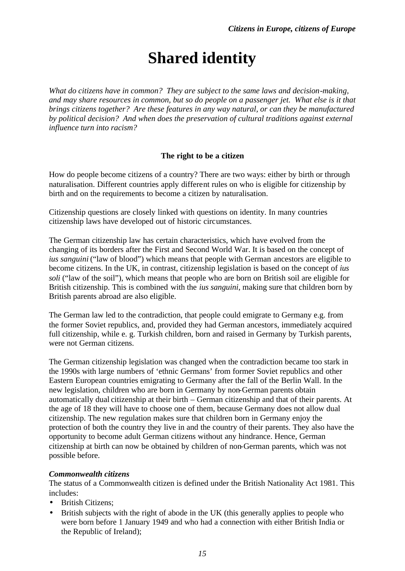# **Shared identity**

*What do citizens have in common? They are subject to the same laws and decision-making, and may share resources in common, but so do people on a passenger jet. What else is it that brings citizens together? Are these features in any way natural, or can they be manufactured by political decision? And when does the preservation of cultural traditions against external influence turn into racism?*

### **The right to be a citizen**

How do people become citizens of a country? There are two ways: either by birth or through naturalisation. Different countries apply different rules on who is eligible for citizenship by birth and on the requirements to become a citizen by naturalisation.

Citizenship questions are closely linked with questions on identity. In many countries citizenship laws have developed out of historic circumstances.

The German citizenship law has certain characteristics, which have evolved from the changing of its borders after the First and Second World War. It is based on the concept of *ius sanguini* ("law of blood") which means that people with German ancestors are eligible to become citizens. In the UK, in contrast, citizenship legislation is based on the concept of *ius soli* ("law of the soil"), which means that people who are born on British soil are eligible for British citizenship. This is combined with the *ius sanguini*, making sure that children born by British parents abroad are also eligible.

The German law led to the contradiction, that people could emigrate to Germany e.g. from the former Soviet republics, and, provided they had German ancestors, immediately acquired full citizenship, while e. g. Turkish children, born and raised in Germany by Turkish parents, were not German citizens.

The German citizenship legislation was changed when the contradiction became too stark in the 1990s with large numbers of 'ethnic Germans' from former Soviet republics and other Eastern European countries emigrating to Germany after the fall of the Berlin Wall. In the new legislation, children who are born in Germany by non-German parents obtain automatically dual citizenship at their birth – German citizenship and that of their parents. At the age of 18 they will have to choose one of them, because Germany does not allow dual citizenship. The new regulation makes sure that children born in Germany enjoy the protection of both the country they live in and the country of their parents. They also have the opportunity to become adult German citizens without any hindrance. Hence, German citizenship at birth can now be obtained by children of non-German parents, which was not possible before.

### *Commonwealth citizens*

The status of a Commonwealth citizen is defined under the British Nationality Act 1981. This includes:

- British Citizens:
- British subjects with the right of abode in the UK (this generally applies to people who were born before 1 January 1949 and who had a connection with either British India or the Republic of Ireland);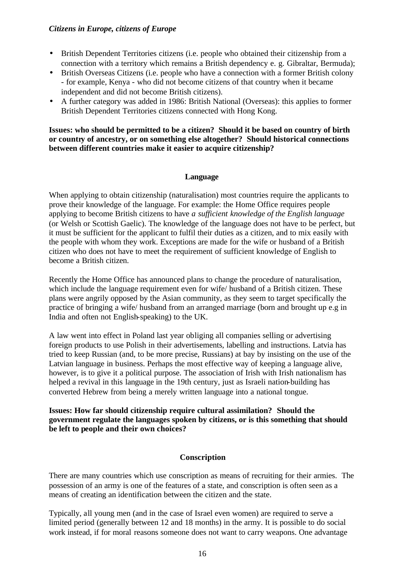- British Dependent Territories citizens (i.e. people who obtained their citizenship from a connection with a territory which remains a British dependency e. g. Gibraltar, Bermuda);
- British Overseas Citizens (i.e. people who have a connection with a former British colony - for example, Kenya - who did not become citizens of that country when it became independent and did not become British citizens).
- A further category was added in 1986: British National (Overseas): this applies to former British Dependent Territories citizens connected with Hong Kong.

**Issues: who should be permitted to be a citizen? Should it be based on country of birth or country of ancestry, or on something else altogether? Should historical connections between different countries make it easier to acquire citizenship?**

### **Language**

When applying to obtain citizenship (naturalisation) most countries require the applicants to prove their knowledge of the language. For example: the Home Office requires people applying to become British citizens to have *a sufficient knowledge of the English language*  (or Welsh or Scottish Gaelic). The knowledge of the language does not have to be perfect, but it must be sufficient for the applicant to fulfil their duties as a citizen, and to mix easily with the people with whom they work. Exceptions are made for the wife or husband of a British citizen who does not have to meet the requirement of sufficient knowledge of English to become a British citizen.

Recently the Home Office has announced plans to change the procedure of naturalisation, which include the language requirement even for wife/ husband of a British citizen. These plans were angrily opposed by the Asian community, as they seem to target specifically the practice of bringing a wife/ husband from an arranged marriage (born and brought up e.g in India and often not English-speaking) to the UK.

A law went into effect in Poland last year obliging all companies selling or advertising foreign products to use Polish in their advertisements, labelling and instructions. Latvia has tried to keep Russian (and, to be more precise, Russians) at bay by insisting on the use of the Latvian language in business. Perhaps the most effective way of keeping a language alive, however, is to give it a political purpose. The association of Irish with Irish nationalism has helped a revival in this language in the 19th century, just as Israeli nation-building has converted Hebrew from being a merely written language into a national tongue.

**Issues: How far should citizenship require cultural assimilation? Should the government regulate the languages spoken by citizens, or is this something that should be left to people and their own choices?**

### **Conscription**

There are many countries which use conscription as means of recruiting for their armies. The possession of an army is one of the features of a state, and conscription is often seen as a means of creating an identification between the citizen and the state.

Typically, all young men (and in the case of Israel even women) are required to serve a limited period (generally between 12 and 18 months) in the army. It is possible to do social work instead, if for moral reasons someone does not want to carry weapons. One advantage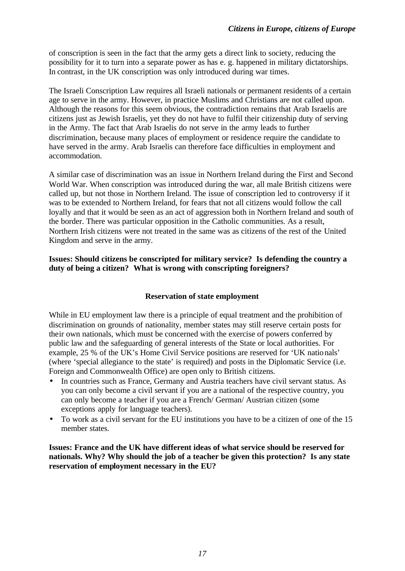of conscription is seen in the fact that the army gets a direct link to society, reducing the possibility for it to turn into a separate power as has e. g. happened in military dictatorships. In contrast, in the UK conscription was only introduced during war times.

The Israeli Conscription Law requires all Israeli nationals or permanent residents of a certain age to serve in the army. However, in practice Muslims and Christians are not called upon. Although the reasons for this seem obvious, the contradiction remains that Arab Israelis are citizens just as Jewish Israelis, yet they do not have to fulfil their citizenship duty of serving in the Army. The fact that Arab Israelis do not serve in the army leads to further discrimination, because many places of employment or residence require the candidate to have served in the army. Arab Israelis can therefore face difficulties in employment and accommodation.

A similar case of discrimination was an issue in Northern Ireland during the First and Second World War. When conscription was introduced during the war, all male British citizens were called up, but not those in Northern Ireland. The issue of conscription led to controversy if it was to be extended to Northern Ireland, for fears that not all citizens would follow the call loyally and that it would be seen as an act of aggression both in Northern Ireland and south of the border. There was particular opposition in the Catholic communities. As a result, Northern Irish citizens were not treated in the same was as citizens of the rest of the United Kingdom and serve in the army.

### **Issues: Should citizens be conscripted for military service? Is defending the country a duty of being a citizen? What is wrong with conscripting foreigners?**

### **Reservation of state employment**

While in EU employment law there is a principle of equal treatment and the prohibition of discrimination on grounds of nationality, member states may still reserve certain posts for their own nationals, which must be concerned with the exercise of powers conferred by public law and the safeguarding of general interests of the State or local authorities. For example, 25 % of the UK's Home Civil Service positions are reserved for 'UK nationals' (where 'special allegiance to the state' is required) and posts in the Diplomatic Service (i.e. Foreign and Commonwealth Office) are open only to British citizens.

- In countries such as France, Germany and Austria teachers have civil servant status. As you can only become a civil servant if you are a national of the respective country, you can only become a teacher if you are a French/ German/ Austrian citizen (some exceptions apply for language teachers).
- To work as a civil servant for the EU institutions you have to be a citizen of one of the 15 member states.

**Issues: France and the UK have different ideas of what service should be reserved for nationals. Why? Why should the job of a teacher be given this protection? Is any state reservation of employment necessary in the EU?**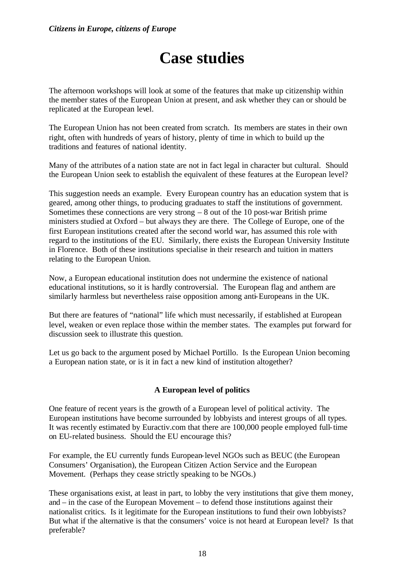# **Case studies**

The afternoon workshops will look at some of the features that make up citizenship within the member states of the European Union at present, and ask whether they can or should be replicated at the European level.

The European Union has not been created from scratch. Its members are states in their own right, often with hundreds of years of history, plenty of time in which to build up the traditions and features of national identity.

Many of the attributes of a nation state are not in fact legal in character but cultural. Should the European Union seek to establish the equivalent of these features at the European level?

This suggestion needs an example. Every European country has an education system that is geared, among other things, to producing graduates to staff the institutions of government. Sometimes these connections are very strong  $-8$  out of the 10 post-war British prime ministers studied at Oxford – but always they are there. The College of Europe, one of the first European institutions created after the second world war, has assumed this role with regard to the institutions of the EU. Similarly, there exists the European University Institute in Florence. Both of these institutions specialise in their research and tuition in matters relating to the European Union.

Now, a European educational institution does not undermine the existence of national educational institutions, so it is hardly controversial. The European flag and anthem are similarly harmless but nevertheless raise opposition among anti-Europeans in the UK.

But there are features of "national" life which must necessarily, if established at European level, weaken or even replace those within the member states. The examples put forward for discussion seek to illustrate this question.

Let us go back to the argument posed by Michael Portillo. Is the European Union becoming a European nation state, or is it in fact a new kind of institution altogether?

### **A European level of politics**

One feature of recent years is the growth of a European level of political activity. The European institutions have become surrounded by lobbyists and interest groups of all types. It was recently estimated by Euractiv.com that there are 100,000 people employed full-time on EU-related business. Should the EU encourage this?

For example, the EU currently funds European-level NGOs such as BEUC (the European Consumers' Organisation), the European Citizen Action Service and the European Movement. (Perhaps they cease strictly speaking to be NGOs.)

These organisations exist, at least in part, to lobby the very institutions that give them money, and – in the case of the European Movement – to defend those institutions against their nationalist critics. Is it legitimate for the European institutions to fund their own lobbyists? But what if the alternative is that the consumers' voice is not heard at European level? Is that preferable?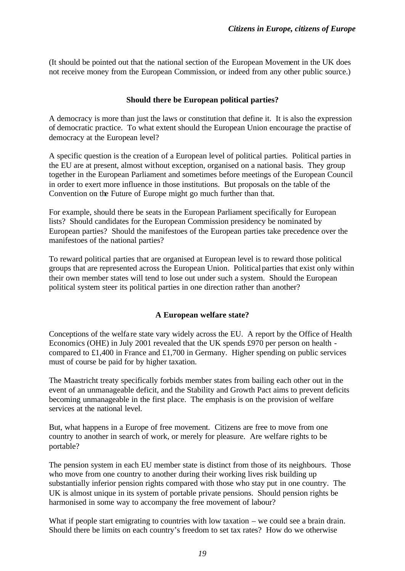(It should be pointed out that the national section of the European Movement in the UK does not receive money from the European Commission, or indeed from any other public source.)

### **Should there be European political parties?**

A democracy is more than just the laws or constitution that define it. It is also the expression of democratic practice. To what extent should the European Union encourage the practise of democracy at the European level?

A specific question is the creation of a European level of political parties. Political parties in the EU are at present, almost without exception, organised on a national basis. They group together in the European Parliament and sometimes before meetings of the European Council in order to exert more influence in those institutions. But proposals on the table of the Convention on the Future of Europe might go much further than that.

For example, should there be seats in the European Parliament specifically for European lists? Should candidates for the European Commission presidency be nominated by European parties? Should the manifestoes of the European parties take precedence over the manifestoes of the national parties?

To reward political parties that are organised at European level is to reward those political groups that are represented across the European Union. Political parties that exist only within their own member states will tend to lose out under such a system. Should the European political system steer its political parties in one direction rather than another?

### **A European welfare state?**

Conceptions of the welfa re state vary widely across the EU. A report by the Office of Health Economics (OHE) in July 2001 revealed that the UK spends £970 per person on health compared to £1,400 in France and £1,700 in Germany. Higher spending on public services must of course be paid for by higher taxation.

The Maastricht treaty specifically forbids member states from bailing each other out in the event of an unmanageable deficit, and the Stability and Growth Pact aims to prevent deficits becoming unmanageable in the first place. The emphasis is on the provision of welfare services at the national level.

But, what happens in a Europe of free movement. Citizens are free to move from one country to another in search of work, or merely for pleasure. Are welfare rights to be portable?

The pension system in each EU member state is distinct from those of its neighbours. Those who move from one country to another during their working lives risk building up substantially inferior pension rights compared with those who stay put in one country. The UK is almost unique in its system of portable private pensions. Should pension rights be harmonised in some way to accompany the free movement of labour?

What if people start emigrating to countries with low taxation – we could see a brain drain. Should there be limits on each country's freedom to set tax rates? How do we otherwise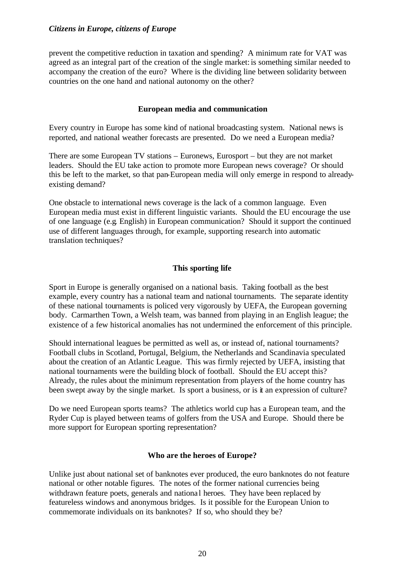prevent the competitive reduction in taxation and spending? A minimum rate for VAT was agreed as an integral part of the creation of the single market: is something similar needed to accompany the creation of the euro? Where is the dividing line between solidarity between countries on the one hand and national autonomy on the other?

### **European media and communication**

Every country in Europe has some kind of national broadcasting system. National news is reported, and national weather forecasts are presented. Do we need a European media?

There are some European TV stations – Euronews, Eurosport – but they are not market leaders. Should the EU take action to promote more European news coverage? Or should this be left to the market, so that pan-European media will only emerge in respond to alreadyexisting demand?

One obstacle to international news coverage is the lack of a common language. Even European media must exist in different linguistic variants. Should the EU encourage the use of one language (e.g. English) in European communication? Should it support the continued use of different languages through, for example, supporting research into automatic translation techniques?

### **This sporting life**

Sport in Europe is generally organised on a national basis. Taking football as the best example, every country has a national team and national tournaments. The separate identity of these national tournaments is policed very vigorously by UEFA, the European governing body. Carmarthen Town, a Welsh team, was banned from playing in an English league; the existence of a few historical anomalies has not undermined the enforcement of this principle.

Should international leagues be permitted as well as, or instead of, national tournaments? Football clubs in Scotland, Portugal, Belgium, the Netherlands and Scandinavia speculated about the creation of an Atlantic League. This was firmly rejected by UEFA, insisting that national tournaments were the building block of football. Should the EU accept this? Already, the rules about the minimum representation from players of the home country has been swept away by the single market. Is sport a business, or is it an expression of culture?

Do we need European sports teams? The athletics world cup has a European team, and the Ryder Cup is played between teams of golfers from the USA and Europe. Should there be more support for European sporting representation?

### **Who are the heroes of Europe?**

Unlike just about national set of banknotes ever produced, the euro banknotes do not feature national or other notable figures. The notes of the former national currencies being withdrawn feature poets, generals and national heroes. They have been replaced by featureless windows and anonymous bridges. Is it possible for the European Union to commemorate individuals on its banknotes? If so, who should they be?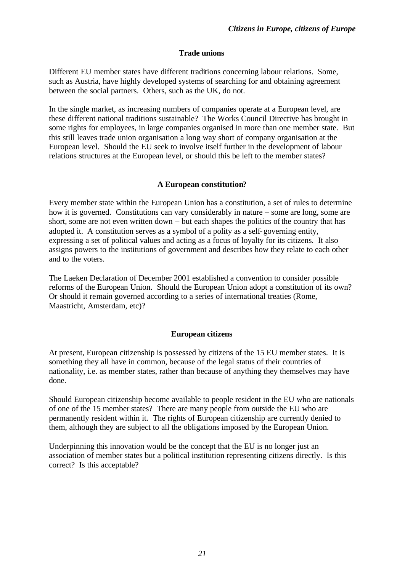### **Trade unions**

Different EU member states have different traditions concerning labour relations. Some, such as Austria, have highly developed systems of searching for and obtaining agreement between the social partners. Others, such as the UK, do not.

In the single market, as increasing numbers of companies operate at a European level, are these different national traditions sustainable? The Works Council Directive has brought in some rights for employees, in large companies organised in more than one member state. But this still leaves trade union organisation a long way short of company organisation at the European level. Should the EU seek to involve itself further in the development of labour relations structures at the European level, or should this be left to the member states?

### **A European constitution?**

Every member state within the European Union has a constitution, a set of rules to determine how it is governed. Constitutions can vary considerably in nature – some are long, some are short, some are not even written down – but each shapes the politics of the country that has adopted it. A constitution serves as a symbol of a polity as a self-governing entity, expressing a set of political values and acting as a focus of loyalty for its citizens. It also assigns powers to the institutions of government and describes how they relate to each other and to the voters.

The Laeken Declaration of December 2001 established a convention to consider possible reforms of the European Union. Should the European Union adopt a constitution of its own? Or should it remain governed according to a series of international treaties (Rome, Maastricht, Amsterdam, etc)?

### **European citizens**

At present, European citizenship is possessed by citizens of the 15 EU member states. It is something they all have in common, because of the legal status of their countries of nationality, i.e. as member states, rather than because of anything they themselves may have done.

Should European citizenship become available to people resident in the EU who are nationals of one of the 15 member states? There are many people from outside the EU who are permanently resident within it. The rights of European citizenship are currently denied to them, although they are subject to all the obligations imposed by the European Union.

Underpinning this innovation would be the concept that the EU is no longer just an association of member states but a political institution representing citizens directly. Is this correct? Is this acceptable?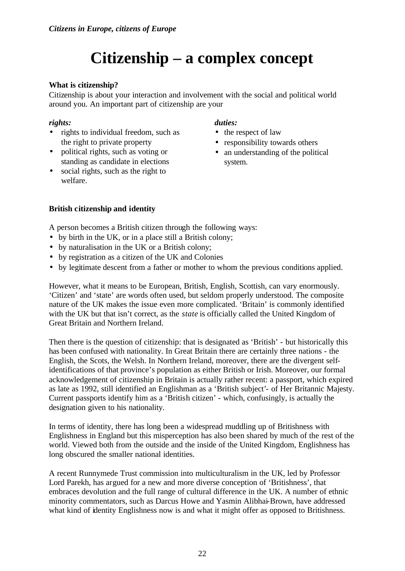# **Citizenship – a complex concept**

### **What is citizenship?**

Citizenship is about your interaction and involvement with the social and political world around you. An important part of citizenship are your

### *rights:*

- rights to individual freedom, such as the right to private property
- political rights, such as voting or standing as candidate in elections
- social rights, such as the right to welfare.

#### *duties:*

- the respect of law
- responsibility towards others
- an understanding of the political system.

### **British citizenship and identity**

A person becomes a British citizen through the following ways:

- by birth in the UK, or in a place still a British colony;
- by naturalisation in the UK or a British colony;
- by registration as a citizen of the UK and Colonies
- by legitimate descent from a father or mother to whom the previous conditions applied.

However, what it means to be European, British, English, Scottish, can vary enormously. 'Citizen' and 'state' are words often used, but seldom properly understood. The composite nature of the UK makes the issue even more complicated. 'Britain' is commonly identified with the UK but that isn't correct, as the *state* is officially called the United Kingdom of Great Britain and Northern Ireland.

Then there is the question of citizenship: that is designated as 'British' - but historically this has been confused with nationality. In Great Britain there are certainly three nations - the English, the Scots, the Welsh. In Northern Ireland, moreover, there are the divergent selfidentifications of that province's population as either British or Irish. Moreover, our formal acknowledgement of citizenship in Britain is actually rather recent: a passport, which expired as late as 1992, still identified an Englishman as a 'British subject'- of Her Britannic Majesty. Current passports identify him as a 'British citizen' - which, confusingly, is actually the designation given to his nationality.

In terms of identity, there has long been a widespread muddling up of Britishness with Englishness in England but this misperception has also been shared by much of the rest of the world. Viewed both from the outside and the inside of the United Kingdom, Englishness has long obscured the smaller national identities.

A recent Runnymede Trust commission into multiculturalism in the UK, led by Professor Lord Parekh, has argued for a new and more diverse conception of 'Britishness', that embraces devolution and the full range of cultural difference in the UK. A number of ethnic minority commentators, such as Darcus Howe and Yasmin Alibhai-Brown, have addressed what kind of identity Englishness now is and what it might offer as opposed to Britishness.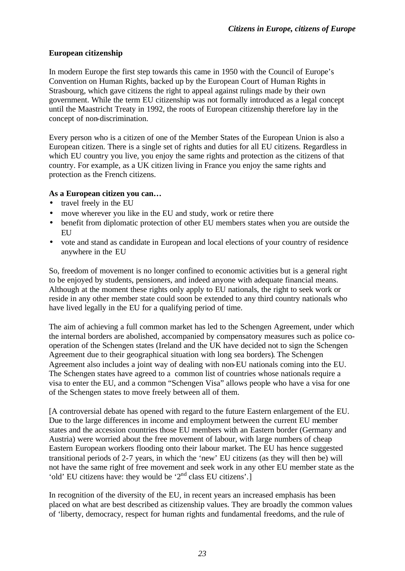### **European citizenship**

In modern Europe the first step towards this came in 1950 with the Council of Europe's Convention on Human Rights, backed up by the European Court of Human Rights in Strasbourg, which gave citizens the right to appeal against rulings made by their own government. While the term EU citizenship was not formally introduced as a legal concept until the Maastricht Treaty in 1992, the roots of European citizenship therefore lay in the concept of non-discrimination.

Every person who is a citizen of one of the Member States of the European Union is also a European citizen. There is a single set of rights and duties for all EU citizens. Regardless in which EU country you live, you enjoy the same rights and protection as the citizens of that country. For example, as a UK citizen living in France you enjoy the same rights and protection as the French citizens.

### **As a European citizen you can…**

- travel freely in the EU
- move wherever you like in the EU and study, work or retire there
- benefit from diplomatic protection of other EU members states when you are outside the **EU**
- vote and stand as candidate in European and local elections of your country of residence anywhere in the EU

So, freedom of movement is no longer confined to economic activities but is a general right to be enjoyed by students, pensioners, and indeed anyone with adequate financial means. Although at the moment these rights only apply to EU nationals, the right to seek work or reside in any other member state could soon be extended to any third country nationals who have lived legally in the EU for a qualifying period of time.

The aim of achieving a full common market has led to the Schengen Agreement, under which the internal borders are abolished, accompanied by compensatory measures such as police cooperation of the Schengen states (Ireland and the UK have decided not to sign the Schengen Agreement due to their geographical situation with long sea borders). The Schengen Agreement also includes a joint way of dealing with non-EU nationals coming into the EU. The Schengen states have agreed to a common list of countries whose nationals require a visa to enter the EU, and a common "Schengen Visa" allows people who have a visa for one of the Schengen states to move freely between all of them.

[A controversial debate has opened with regard to the future Eastern enlargement of the EU. Due to the large differences in income and employment between the current EU member states and the accession countries those EU members with an Eastern border (Germany and Austria) were worried about the free movement of labour, with large numbers of cheap Eastern European workers flooding onto their labour market. The EU has hence suggested transitional periods of 2-7 years, in which the 'new' EU citizens (as they will then be) will not have the same right of free movement and seek work in any other EU member state as the 'old' EU citizens have: they would be '2nd class EU citizens'.]

In recognition of the diversity of the EU, in recent years an increased emphasis has been placed on what are best described as citizenship values. They are broadly the common values of 'liberty, democracy, respect for human rights and fundamental freedoms, and the rule of